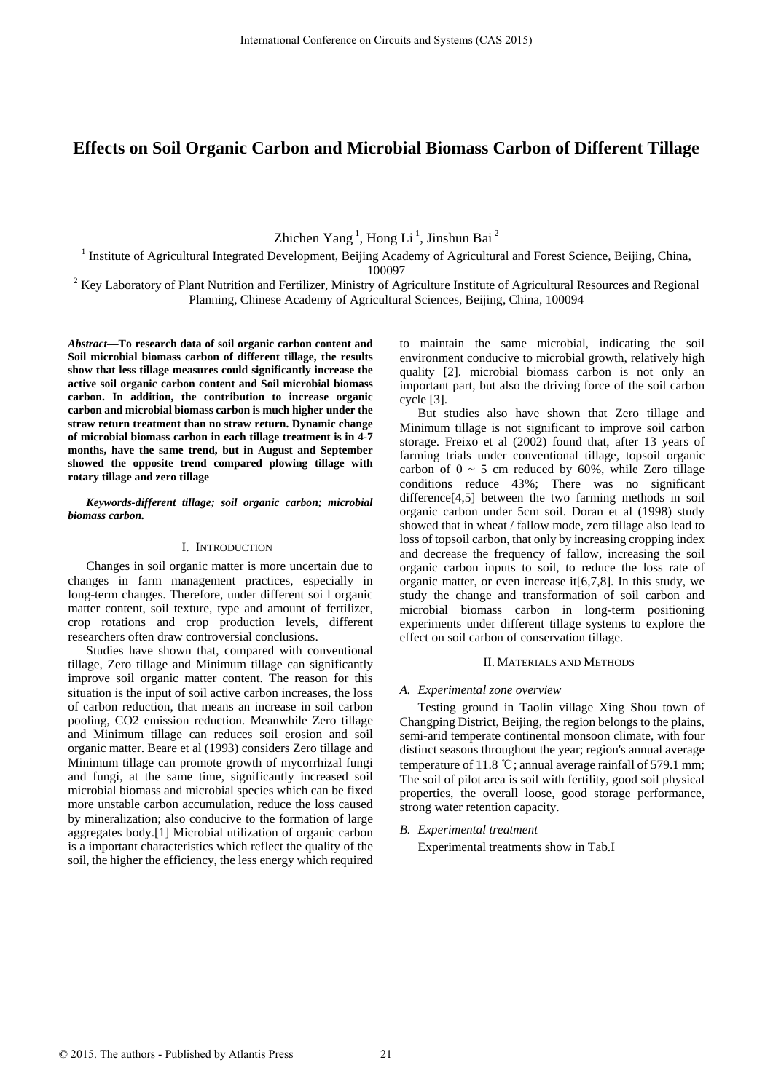# **Effects on Soil Organic Carbon and Microbial Biomass Carbon of Different Tillage**

Zhichen Yang<sup>1</sup>, Hong Li<sup>1</sup>, Jinshun Bai<sup>2</sup>

<sup>1</sup> Institute of Agricultural Integrated Development, Beijing Academy of Agricultural and Forest Science, Beijing, China,

100097<br>Exey Laboratory of Plant Nutrition and Fertilizer, Ministry of Agriculture Institute of Agricultural Resources and Regional <sup>2</sup> Planning, Chinese Academy of Agricultural Sciences, Beijing, China, 100094

*Abstract***—To research data of soil organic carbon content and Soil microbial biomass carbon of different tillage, the results show that less tillage measures could significantly increase the active soil organic carbon content and Soil microbial biomass carbon. In addition, the contribution to increase organic carbon and microbial biomass carbon is much higher under the straw return treatment than no straw return. Dynamic change of microbial biomass carbon in each tillage treatment is in 4-7 months, have the same trend, but in August and September showed the opposite trend compared plowing tillage with rotary tillage and zero tillage** 

## *Keywords-different tillage; soil organic carbon; microbial biomass carbon.*

# I. INTRODUCTION

Changes in soil organic matter is more uncertain due to changes in farm management practices, especially in long-term changes. Therefore, under different soi l organic matter content, soil texture, type and amount of fertilizer, crop rotations and crop production levels, different researchers often draw controversial conclusions.

Studies have shown that, compared with conventional tillage, Zero tillage and Minimum tillage can significantly improve soil organic matter content. The reason for this situation is the input of soil active carbon increases, the loss of carbon reduction, that means an increase in soil carbon pooling, CO2 emission reduction. Meanwhile Zero tillage and Minimum tillage can reduces soil erosion and soil organic matter. Beare et al (1993) considers Zero tillage and Minimum tillage can promote growth of mycorrhizal fungi and fungi, at the same time, significantly increased soil microbial biomass and microbial species which can be fixed more unstable carbon accumulation, reduce the loss caused by mineralization; also conducive to the formation of large aggregates body.[1] Microbial utilization of organic carbon is a important characteristics which reflect the quality of the soil, the higher the efficiency, the less energy which required International Conference on Circuits and System (CAS 2015)<br>
International Conference of Aginetization International Distribution School Conference of Aginetization Conference of Aginetization of Aginetization Conference o

to maintain the same microbial, indicating the soil environment conducive to microbial growth, relatively high quality [2]. microbial biomass carbon is not only an important part, but also the driving force of the soil carbon cycle [3].

But studies also have shown that Zero tillage and Minimum tillage is not significant to improve soil carbon storage. Freixo et al (2002) found that, after 13 years of farming trials under conventional tillage, topsoil organic carbon of  $0 \sim 5$  cm reduced by 60%, while Zero tillage conditions reduce 43%; There was no significant difference[4,5] between the two farming methods in soil organic carbon under 5cm soil. Doran et al (1998) study showed that in wheat / fallow mode, zero tillage also lead to loss of topsoil carbon, that only by increasing cropping index and decrease the frequency of fallow, increasing the soil organic carbon inputs to soil, to reduce the loss rate of organic matter, or even increase it[6,7,8]. In this study, we study the change and transformation of soil carbon and microbial biomass carbon in long-term positioning experiments under different tillage systems to explore the effect on soil carbon of conservation tillage.

# II. MATERIALS AND METHODS

## *A. Experimental zone overview*

Testing ground in Taolin village Xing Shou town of Changping District, Beijing, the region belongs to the plains, semi-arid temperate continental monsoon climate, with four distinct seasons throughout the year; region's annual average temperature of 11.8 ℃; annual average rainfall of 579.1 mm; The soil of pilot area is soil with fertility, good soil physical properties, the overall loose, good storage performance, strong water retention capacity.

## *B. Experimental treatment*

Experimental treatments show in Tab.I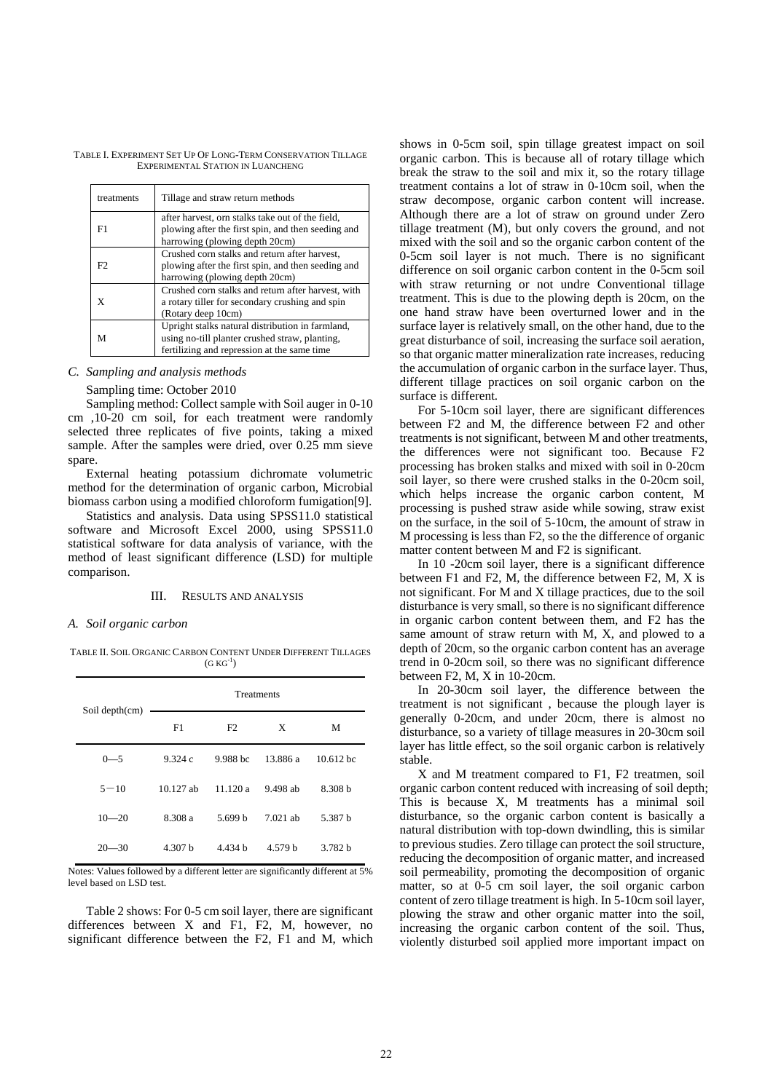TABLE I. EXPERIMENT SET UP OF LONG-TERM CONSERVATION TILLAGE EXPERIMENTAL STATION IN LUANCHENG

| treatments | Tillage and straw return methods                                                                                                                  |  |  |
|------------|---------------------------------------------------------------------------------------------------------------------------------------------------|--|--|
| F1         | after harvest, orn stalks take out of the field,<br>plowing after the first spin, and then seeding and<br>harrowing (plowing depth 20cm)          |  |  |
| F2         | Crushed corn stalks and return after harvest,<br>plowing after the first spin, and then seeding and<br>harrowing (plowing depth 20cm)             |  |  |
| X          | Crushed corn stalks and return after harvest, with<br>a rotary tiller for secondary crushing and spin<br>(Rotary deep 10cm)                       |  |  |
| м          | Upright stalks natural distribution in farmland,<br>using no-till planter crushed straw, planting,<br>fertilizing and repression at the same time |  |  |

## *C. Sampling and analysis methods*

## Sampling time: October 2010

Sampling method: Collect sample with Soil auger in 0-10 cm ,10-20 cm soil, for each treatment were randomly selected three replicates of five points, taking a mixed sample. After the samples were dried, over 0.25 mm sieve spare.

External heating potassium dichromate volumetric method for the determination of organic carbon, Microbial biomass carbon using a modified chloroform fumigation[9].

Statistics and analysis. Data using SPSS11.0 statistical software and Microsoft Excel 2000, using SPSS11.0 statistical software for data analysis of variance, with the method of least significant difference (LSD) for multiple comparison.

#### III. RESULTS AND ANALYSIS

#### *A. Soil organic carbon*

TABLE II. SOIL ORGANIC CARBON CONTENT UNDER DIFFERENT TILLAGES  $(GKG<sup>-1</sup>)$ 

| Soil depth(cm) | <b>Treatments</b> |          |            |             |
|----------------|-------------------|----------|------------|-------------|
|                | F1                | F2       | X          | М           |
| $0 - 5$        | 9.324c            | 9.988 bc | 13.886 a   | $10.612$ bc |
| $5 - 10$       | $10.127$ ab       | 11120a   | 9.498 ab   | 8.308 h     |
| $10 - 20$      | 8.308 a           | 5.699 h  | $7.021$ ab | 5.387 h     |
| $20 - 30$      | 4.307 h           | 4.434h   | 4.579 h    | 3.782 h     |

Notes: Values followed by a different letter are significantly different at 5% level based on LSD test.

Table 2 shows: For 0-5 cm soil layer, there are significant differences between X and F1, F2, M, however, no significant difference between the F2, F1 and M, which shows in 0-5cm soil, spin tillage greatest impact on soil organic carbon. This is because all of rotary tillage which break the straw to the soil and mix it, so the rotary tillage treatment contains a lot of straw in 0-10cm soil, when the straw decompose, organic carbon content will increase. Although there are a lot of straw on ground under Zero tillage treatment (M), but only covers the ground, and not mixed with the soil and so the organic carbon content of the 0-5cm soil layer is not much. There is no significant difference on soil organic carbon content in the 0-5cm soil with straw returning or not undre Conventional tillage treatment. This is due to the plowing depth is 20cm, on the one hand straw have been overturned lower and in the surface layer is relatively small, on the other hand, due to the great disturbance of soil, increasing the surface soil aeration, so that organic matter mineralization rate increases, reducing the accumulation of organic carbon in the surface layer. Thus, different tillage practices on soil organic carbon on the surface is different.

For 5-10cm soil layer, there are significant differences between F2 and M, the difference between F2 and other treatments is not significant, between M and other treatments, the differences were not significant too. Because F2 processing has broken stalks and mixed with soil in 0-20cm soil layer, so there were crushed stalks in the 0-20cm soil, which helps increase the organic carbon content, M processing is pushed straw aside while sowing, straw exist on the surface, in the soil of 5-10cm, the amount of straw in M processing is less than F2, so the the difference of organic matter content between M and F2 is significant.

In 10 -20cm soil layer, there is a significant difference between F1 and F2, M, the difference between F2, M, X is not significant. For M and X tillage practices, due to the soil disturbance is very small, so there is no significant difference in organic carbon content between them, and F2 has the same amount of straw return with M, X, and plowed to a depth of 20cm, so the organic carbon content has an average trend in 0-20cm soil, so there was no significant difference between F2, M, X in 10-20cm.

In 20-30cm soil layer, the difference between the treatment is not significant , because the plough layer is generally 0-20cm, and under 20cm, there is almost no disturbance, so a variety of tillage measures in 20-30cm soil layer has little effect, so the soil organic carbon is relatively stable.

X and M treatment compared to F1, F2 treatmen, soil organic carbon content reduced with increasing of soil depth; This is because X, M treatments has a minimal soil disturbance, so the organic carbon content is basically a natural distribution with top-down dwindling, this is similar to previous studies. Zero tillage can protect the soil structure, reducing the decomposition of organic matter, and increased soil permeability, promoting the decomposition of organic matter, so at 0-5 cm soil layer, the soil organic carbon content of zero tillage treatment is high. In 5-10cm soil layer, plowing the straw and other organic matter into the soil, increasing the organic carbon content of the soil. Thus, violently disturbed soil applied more important impact on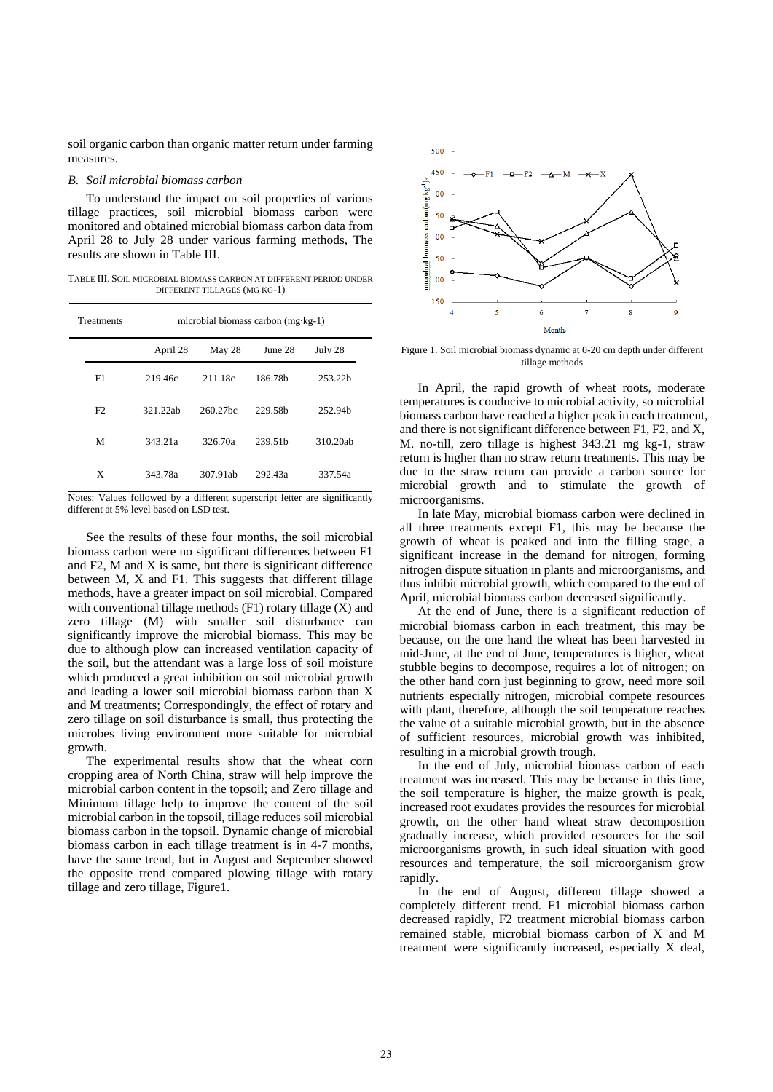soil organic carbon than organic matter return under farming measures.

#### *B. Soil microbial biomass carbon*

To understand the impact on soil properties of various tillage practices, soil microbial biomass carbon were monitored and obtained microbial biomass carbon data from April 28 to July 28 under various farming methods, The results are shown in Table III.

TABLE III. SOIL MICROBIAL BIOMASS CARBON AT DIFFERENT PERIOD UNDER DIFFERENT TILLAGES (MG KG-1)

| <b>Treatments</b> | microbial biomass carbon $(mg \cdot kg - 1)$ |          |                     |                     |  |  |
|-------------------|----------------------------------------------|----------|---------------------|---------------------|--|--|
|                   | April 28                                     | May 28   | June 28             | July 28             |  |  |
| F1                | 219.46c                                      | 211.18c  | 186.78b             | 253.22b             |  |  |
| F <sub>2</sub>    | 321.22ab                                     | 260.27bc | 229.58 <sub>h</sub> | 252.94 <sub>h</sub> |  |  |
| М                 | 343.21a                                      | 326.70a  | 239.51 <sub>h</sub> | 310.20ab            |  |  |
| X                 | 343.78a                                      | 307.91ab | 292.43a             | 337.54a             |  |  |

Notes: Values followed by a different superscript letter are significantly different at 5% level based on LSD test.

See the results of these four months, the soil microbial biomass carbon were no significant differences between F1 and F2, M and X is same, but there is significant difference between M, X and F1. This suggests that different tillage methods, have a greater impact on soil microbial. Compared with conventional tillage methods (F1) rotary tillage (X) and zero tillage (M) with smaller soil disturbance can significantly improve the microbial biomass. This may be due to although plow can increased ventilation capacity of the soil, but the attendant was a large loss of soil moisture which produced a great inhibition on soil microbial growth and leading a lower soil microbial biomass carbon than X and M treatments; Correspondingly, the effect of rotary and zero tillage on soil disturbance is small, thus protecting the microbes living environment more suitable for microbial growth.

The experimental results show that the wheat corn cropping area of North China, straw will help improve the microbial carbon content in the topsoil; and Zero tillage and Minimum tillage help to improve the content of the soil microbial carbon in the topsoil, tillage reduces soil microbial biomass carbon in the topsoil. Dynamic change of microbial biomass carbon in each tillage treatment is in 4-7 months, have the same trend, but in August and September showed the opposite trend compared plowing tillage with rotary tillage and zero tillage, Figure1.



Figure 1. Soil microbial biomass dynamic at 0-20 cm depth under different tillage methods

In April, the rapid growth of wheat roots, moderate temperatures is conducive to microbial activity, so microbial biomass carbon have reached a higher peak in each treatment, and there is not significant difference between F1, F2, and X, M. no-till, zero tillage is highest 343.21 mg kg-1, straw return is higher than no straw return treatments. This may be due to the straw return can provide a carbon source for microbial growth and to stimulate the growth of microorganisms.

In late May, microbial biomass carbon were declined in all three treatments except F1, this may be because the growth of wheat is peaked and into the filling stage, a significant increase in the demand for nitrogen, forming nitrogen dispute situation in plants and microorganisms, and thus inhibit microbial growth, which compared to the end of April, microbial biomass carbon decreased significantly.

At the end of June, there is a significant reduction of microbial biomass carbon in each treatment, this may be because, on the one hand the wheat has been harvested in mid-June, at the end of June, temperatures is higher, wheat stubble begins to decompose, requires a lot of nitrogen; on the other hand corn just beginning to grow, need more soil nutrients especially nitrogen, microbial compete resources with plant, therefore, although the soil temperature reaches the value of a suitable microbial growth, but in the absence of sufficient resources, microbial growth was inhibited, resulting in a microbial growth trough.

In the end of July, microbial biomass carbon of each treatment was increased. This may be because in this time, the soil temperature is higher, the maize growth is peak, increased root exudates provides the resources for microbial growth, on the other hand wheat straw decomposition gradually increase, which provided resources for the soil microorganisms growth, in such ideal situation with good resources and temperature, the soil microorganism grow rapidly.

In the end of August, different tillage showed a completely different trend. F1 microbial biomass carbon decreased rapidly, F2 treatment microbial biomass carbon remained stable, microbial biomass carbon of X and M treatment were significantly increased, especially X deal,